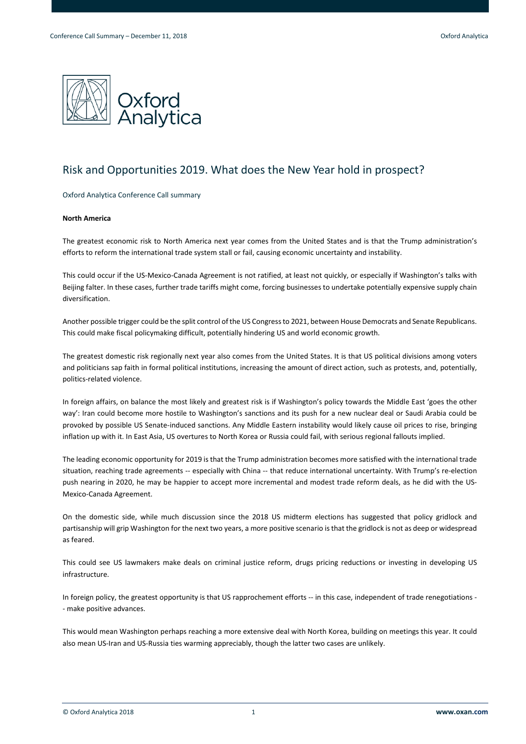

# Risk and Opportunities 2019. What does the New Year hold in prospect?

Oxford Analytica Conference Call summary

# **North America**

The greatest economic risk to North America next year comes from the United States and is that the Trump administration's efforts to reform the international trade system stall or fail, causing economic uncertainty and instability.

This could occur if the US-Mexico-Canada Agreement is not ratified, at least not quickly, or especially if Washington's talks with Beijing falter. In these cases, further trade tariffs might come, forcing businesses to undertake potentially expensive supply chain diversification.

Another possible trigger could be the split control of the US Congress to 2021, between House Democrats and Senate Republicans. This could make fiscal policymaking difficult, potentially hindering US and world economic growth.

The greatest domestic risk regionally next year also comes from the United States. It is that US political divisions among voters and politicians sap faith in formal political institutions, increasing the amount of direct action, such as protests, and, potentially, politics-related violence.

In foreign affairs, on balance the most likely and greatest risk is if Washington's policy towards the Middle East 'goes the other way': Iran could become more hostile to Washington's sanctions and its push for a new nuclear deal or Saudi Arabia could be provoked by possible US Senate-induced sanctions. Any Middle Eastern instability would likely cause oil prices to rise, bringing inflation up with it. In East Asia, US overtures to North Korea or Russia could fail, with serious regional fallouts implied.

The leading economic opportunity for 2019 is that the Trump administration becomes more satisfied with the international trade situation, reaching trade agreements -- especially with China -- that reduce international uncertainty. With Trump's re-election push nearing in 2020, he may be happier to accept more incremental and modest trade reform deals, as he did with the US-Mexico-Canada Agreement.

On the domestic side, while much discussion since the 2018 US midterm elections has suggested that policy gridlock and partisanship will grip Washington for the next two years, a more positive scenario is that the gridlock is not as deep or widespread as feared.

This could see US lawmakers make deals on criminal justice reform, drugs pricing reductions or investing in developing US infrastructure.

In foreign policy, the greatest opportunity is that US rapprochement efforts -- in this case, independent of trade renegotiations -- make positive advances.

This would mean Washington perhaps reaching a more extensive deal with North Korea, building on meetings this year. It could also mean US-Iran and US-Russia ties warming appreciably, though the latter two cases are unlikely.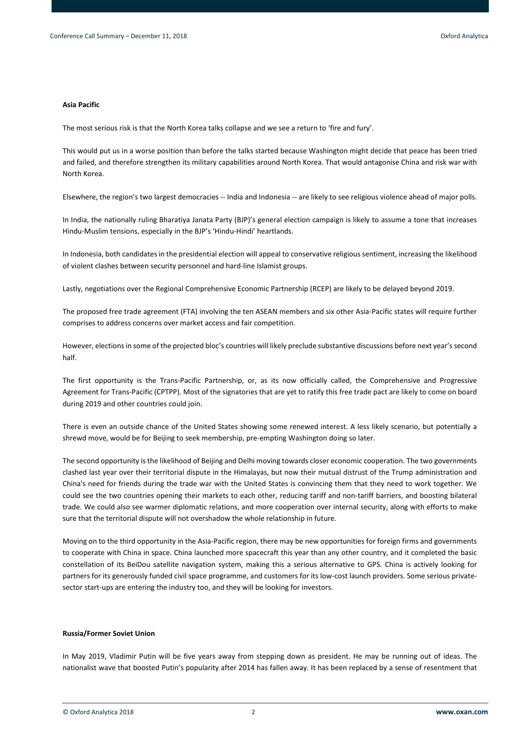#### **Asia Pacific**

The most serious risk is that the North Korea talks collapse and we see a return to 'fire and fury'.

This would put us in a worse position than before the talks started because Washington might decide that peace has been tried and failed, and therefore strengthen its military capabilities around North Korea. That would antagonise China and risk war with North Korea.

Elsewhere, the region's two largest democracies -- India and Indonesia -- are likely to see religious violence ahead of major polls.

In India, the nationally ruling Bharatiya Janata Party (BJP)'s general election campaign is likely to assume a tone that increases Hindu-Muslim tensions, especially in the BJP's 'Hindu-Hindi' heartlands.

In Indonesia, both candidates in the presidential election will appeal to conservative religious sentiment, increasing the likelihood of violent clashes between security personnel and hard-line Islamist groups.

Lastly, negotiations over the Regional Comprehensive Economic Partnership (RCEP) are likely to be delayed beyond 2019.

The proposed free trade agreement (FTA) involving the ten ASEAN members and six other Asia-Pacific states will require further comprises to address concerns over market access and fair competition.

However, elections in some of the projected bloc's countries will likely preclude substantive discussions before next year's second half.

The first opportunity is the Trans-Pacific Partnership, or, as its now officially called, the Comprehensive and Progressive Agreement for Trans-Pacific (CPTPP). Most of the signatories that are yet to ratify this free trade pact are likely to come on board during 2019 and other countries could join.

There is even an outside chance of the United States showing some renewed interest. A less likely scenario, but potentially a shrewd move, would be for Beijing to seek membership, pre-empting Washington doing so later.

The second opportunity is the likelihood of Beijing and Delhi moving towards closer economic cooperation. The two governments clashed last year over their territorial dispute in the Himalayas, but now their mutual distrust of the Trump administration and China's need for friends during the trade war with the United States is convincing them that they need to work together. We could see the two countries opening their markets to each other, reducing tariff and non-tariff barriers, and boosting bilateral trade. We could also see warmer diplomatic relations, and more cooperation over internal security, along with efforts to make sure that the territorial dispute will not overshadow the whole relationship in future.

Moving on to the third opportunity in the Asia-Pacific region, there may be new opportunities for foreign firms and governments to cooperate with China in space. China launched more spacecraft this year than any other country, and it completed the basic constellation of its BeiDou satellite navigation system, making this a serious alternative to GPS. China is actively looking for partners for its generously funded civil space programme, and customers for its low-cost launch providers. Some serious privatesector start-ups are entering the industry too, and they will be looking for investors.

#### **Russia/Former Soviet Union**

In May 2019, Vladimir Putin will be five years away from stepping down as president. He may be running out of ideas. The nationalist wave that boosted Putin's popularity after 2014 has fallen away. It has been replaced by a sense of resentment that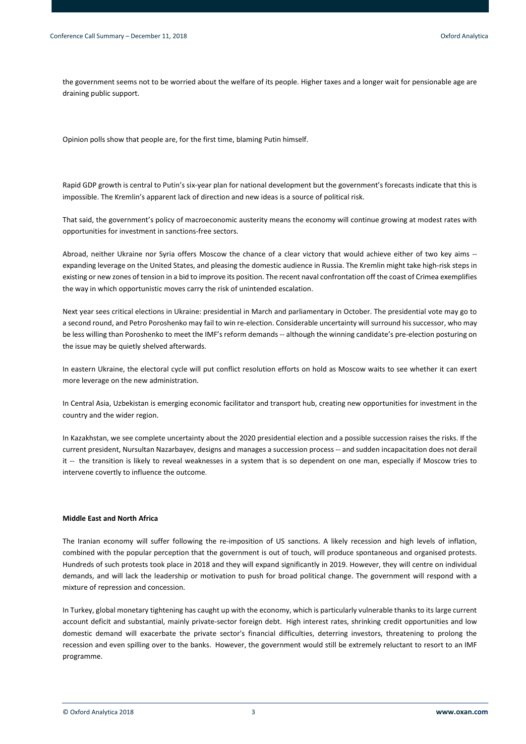the government seems not to be worried about the welfare of its people. Higher taxes and a longer wait for pensionable age are draining public support.

Opinion polls show that people are, for the first time, blaming Putin himself.

Rapid GDP growth is central to Putin's six-year plan for national development but the government's forecasts indicate that this is impossible. The Kremlin's apparent lack of direction and new ideas is a source of political risk.

That said, the government's policy of macroeconomic austerity means the economy will continue growing at modest rates with opportunities for investment in sanctions-free sectors.

Abroad, neither Ukraine nor Syria offers Moscow the chance of a clear victory that would achieve either of two key aims - expanding leverage on the United States, and pleasing the domestic audience in Russia. The Kremlin might take high-risk steps in existing or new zones of tension in a bid to improve its position. The recent naval confrontation off the coast of Crimea exemplifies the way in which opportunistic moves carry the risk of unintended escalation.

Next year sees critical elections in Ukraine: presidential in March and parliamentary in October. The presidential vote may go to a second round, and Petro Poroshenko may fail to win re-election. Considerable uncertainty will surround his successor, who may be less willing than Poroshenko to meet the IMF's reform demands -- although the winning candidate's pre-election posturing on the issue may be quietly shelved afterwards.

In eastern Ukraine, the electoral cycle will put conflict resolution efforts on hold as Moscow waits to see whether it can exert more leverage on the new administration.

In Central Asia, Uzbekistan is emerging economic facilitator and transport hub, creating new opportunities for investment in the country and the wider region.

In Kazakhstan, we see complete uncertainty about the 2020 presidential election and a possible succession raises the risks. If the current president, Nursultan Nazarbayev, designs and manages a succession process -- and sudden incapacitation does not derail it -- the transition is likely to reveal weaknesses in a system that is so dependent on one man, especially if Moscow tries to intervene covertly to influence the outcome.

# **Middle East and North Africa**

The Iranian economy will suffer following the re-imposition of US sanctions. A likely recession and high levels of inflation, combined with the popular perception that the government is out of touch, will produce spontaneous and organised protests. Hundreds of such protests took place in 2018 and they will expand significantly in 2019. However, they will centre on individual demands, and will lack the leadership or motivation to push for broad political change. The government will respond with a mixture of repression and concession.

In Turkey, global monetary tightening has caught up with the economy, which is particularly vulnerable thanks to its large current account deficit and substantial, mainly private-sector foreign debt. High interest rates, shrinking credit opportunities and low domestic demand will exacerbate the private sector's financial difficulties, deterring investors, threatening to prolong the recession and even spilling over to the banks. However, the government would still be extremely reluctant to resort to an IMF programme.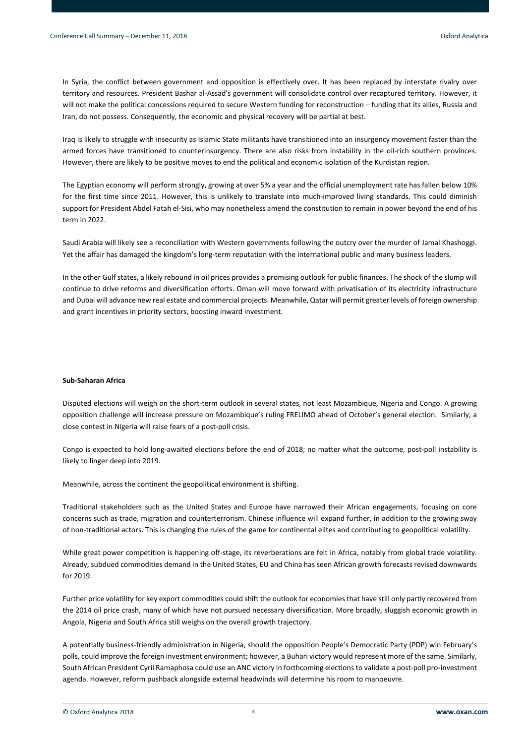In Syria, the conflict between government and opposition is effectively over. It has been replaced by interstate rivalry over territory and resources. President Bashar al-Assad's government will consolidate control over recaptured territory. However, it will not make the political concessions required to secure Western funding for reconstruction – funding that its allies, Russia and Iran, do not possess. Consequently, the economic and physical recovery will be partial at best.

Iraq is likely to struggle with insecurity as Islamic State militants have transitioned into an insurgency movement faster than the armed forces have transitioned to counterinsurgency. There are also risks from instability in the oil-rich southern provinces. However, there are likely to be positive moves to end the political and economic isolation of the Kurdistan region.

The Egyptian economy will perform strongly, growing at over 5% a year and the official unemployment rate has fallen below 10% for the first time since 2011. However, this is unlikely to translate into much-improved living standards. This could diminish support for President Abdel Fatah el-Sisi, who may nonetheless amend the constitution to remain in power beyond the end of his term in 2022.

Saudi Arabia will likely see a reconciliation with Western governments following the outcry over the murder of Jamal Khashoggi. Yet the affair has damaged the kingdom's long-term reputation with the international public and many business leaders.

In the other Gulf states, a likely rebound in oil prices provides a promising outlook for public finances. The shock of the slump will continue to drive reforms and diversification efforts. Oman will move forward with privatisation of its electricity infrastructure and Dubai will advance new real estate and commercial projects. Meanwhile, Qatar will permit greater levels of foreign ownership and grant incentives in priority sectors, boosting inward investment.

# **Sub-Saharan Africa**

Disputed elections will weigh on the short-term outlook in several states, not least Mozambique, Nigeria and Congo. A growing opposition challenge will increase pressure on Mozambique's ruling FRELIMO ahead of October's general election. Similarly, a close contest in Nigeria will raise fears of a post-poll crisis.

Congo is expected to hold long-awaited elections before the end of 2018; no matter what the outcome, post-poll instability is likely to linger deep into 2019.

Meanwhile, across the continent the geopolitical environment is shifting.

Traditional stakeholders such as the United States and Europe have narrowed their African engagements, focusing on core concerns such as trade, migration and counterterrorism. Chinese influence will expand further, in addition to the growing sway of non-traditional actors. This is changing the rules of the game for continental elites and contributing to geopolitical volatility.

While great power competition is happening off-stage, its reverberations are felt in Africa, notably from global trade volatility. Already, subdued commodities demand in the United States, EU and China has seen African growth forecasts revised downwards for 2019.

Further price volatility for key export commodities could shift the outlook for economies that have still only partly recovered from the 2014 oil price crash, many of which have not pursued necessary diversification. More broadly, sluggish economic growth in Angola, Nigeria and South Africa still weighs on the overall growth trajectory.

A potentially business-friendly administration in Nigeria, should the opposition People's Democratic Party (PDP) win February's polls, could improve the foreign investment environment; however, a Buhari victory would represent more of the same. Similarly, South African President Cyril Ramaphosa could use an ANC victory in forthcoming elections to validate a post-poll pro-investment agenda. However, reform pushback alongside external headwinds will determine his room to manoeuvre.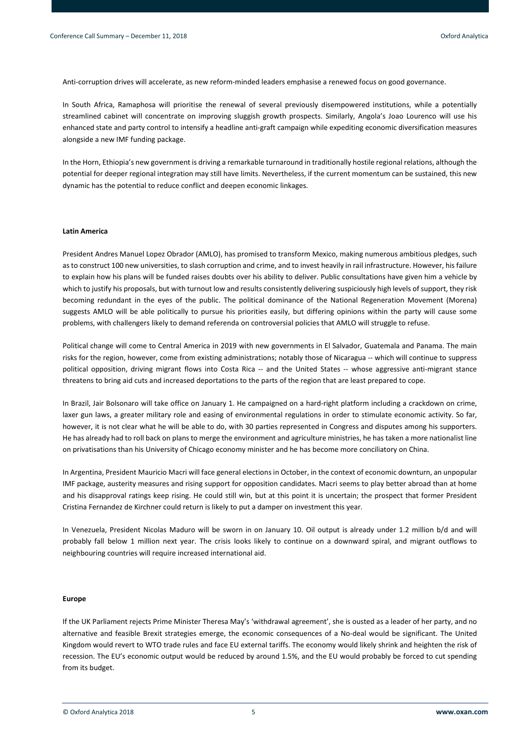Anti-corruption drives will accelerate, as new reform-minded leaders emphasise a renewed focus on good governance.

In South Africa, Ramaphosa will prioritise the renewal of several previously disempowered institutions, while a potentially streamlined cabinet will concentrate on improving sluggish growth prospects. Similarly, Angola's Joao Lourenco will use his enhanced state and party control to intensify a headline anti-graft campaign while expediting economic diversification measures alongside a new IMF funding package.

In the Horn, Ethiopia's new government is driving a remarkable turnaround in traditionally hostile regional relations, although the potential for deeper regional integration may still have limits. Nevertheless, if the current momentum can be sustained, this new dynamic has the potential to reduce conflict and deepen economic linkages.

# **Latin America**

President Andres Manuel Lopez Obrador (AMLO), has promised to transform Mexico, making numerous ambitious pledges, such as to construct 100 new universities, to slash corruption and crime, and to invest heavily in rail infrastructure. However, his failure to explain how his plans will be funded raises doubts over his ability to deliver. Public consultations have given him a vehicle by which to justify his proposals, but with turnout low and results consistently delivering suspiciously high levels of support, they risk becoming redundant in the eyes of the public. The political dominance of the National Regeneration Movement (Morena) suggests AMLO will be able politically to pursue his priorities easily, but differing opinions within the party will cause some problems, with challengers likely to demand referenda on controversial policies that AMLO will struggle to refuse.

Political change will come to Central America in 2019 with new governments in El Salvador, Guatemala and Panama. The main risks for the region, however, come from existing administrations; notably those of Nicaragua -- which will continue to suppress political opposition, driving migrant flows into Costa Rica -- and the United States -- whose aggressive anti-migrant stance threatens to bring aid cuts and increased deportations to the parts of the region that are least prepared to cope.

In Brazil, Jair Bolsonaro will take office on January 1. He campaigned on a hard-right platform including a crackdown on crime, laxer gun laws, a greater military role and easing of environmental regulations in order to stimulate economic activity. So far, however, it is not clear what he will be able to do, with 30 parties represented in Congress and disputes among his supporters. He has already had to roll back on plans to merge the environment and agriculture ministries, he has taken a more nationalist line on privatisations than his University of Chicago economy minister and he has become more conciliatory on China.

In Argentina, President Mauricio Macri will face general elections in October, in the context of economic downturn, an unpopular IMF package, austerity measures and rising support for opposition candidates. Macri seems to play better abroad than at home and his disapproval ratings keep rising. He could still win, but at this point it is uncertain; the prospect that former President Cristina Fernandez de Kirchner could return is likely to put a damper on investment this year.

In Venezuela, President Nicolas Maduro will be sworn in on January 10. Oil output is already under 1.2 million b/d and will probably fall below 1 million next year. The crisis looks likely to continue on a downward spiral, and migrant outflows to neighbouring countries will require increased international aid.

#### **Europe**

If the UK Parliament rejects Prime Minister Theresa May's 'withdrawal agreement', she is ousted as a leader of her party, and no alternative and feasible Brexit strategies emerge, the economic consequences of a No-deal would be significant. The United Kingdom would revert to WTO trade rules and face EU external tariffs. The economy would likely shrink and heighten the risk of recession. The EU's economic output would be reduced by around 1.5%, and the EU would probably be forced to cut spending from its budget.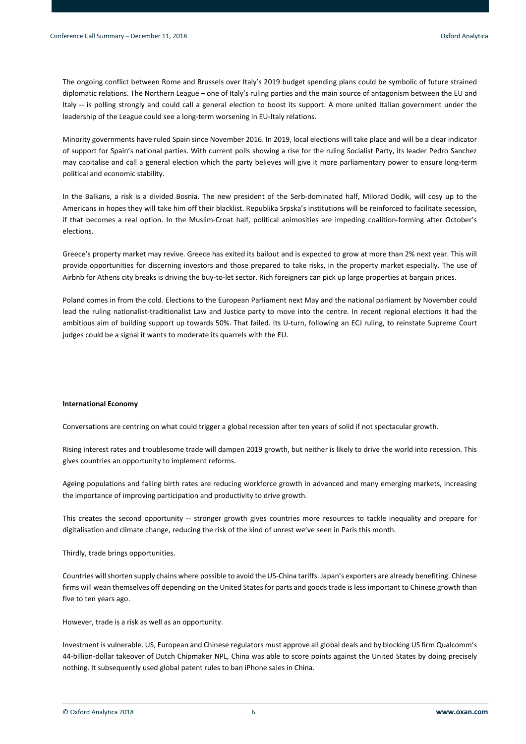The ongoing conflict between Rome and Brussels over Italy's 2019 budget spending plans could be symbolic of future strained diplomatic relations. The Northern League – one of Italy's ruling parties and the main source of antagonism between the EU and Italy -- is polling strongly and could call a general election to boost its support. A more united Italian government under the leadership of the League could see a long-term worsening in EU-Italy relations.

Minority governments have ruled Spain since November 2016. In 2019, local elections will take place and will be a clear indicator of support for Spain's national parties. With current polls showing a rise for the ruling Socialist Party, its leader Pedro Sanchez may capitalise and call a general election which the party believes will give it more parliamentary power to ensure long-term political and economic stability.

In the Balkans, a risk is a divided Bosnia. The new president of the Serb-dominated half, Milorad Dodik, will cosy up to the Americans in hopes they will take him off their blacklist. Republika Srpska's institutions will be reinforced to facilitate secession, if that becomes a real option. In the Muslim-Croat half, political animosities are impeding coalition-forming after October's elections.

Greece's property market may revive. Greece has exited its bailout and is expected to grow at more than 2% next year. This will provide opportunities for discerning investors and those prepared to take risks, in the property market especially. The use of Airbnb for Athens city breaks is driving the buy-to-let sector. Rich foreigners can pick up large properties at bargain prices.

Poland comes in from the cold. Elections to the European Parliament next May and the national parliament by November could lead the ruling nationalist-traditionalist Law and Justice party to move into the centre. In recent regional elections it had the ambitious aim of building support up towards 50%. That failed. Its U-turn, following an ECJ ruling, to reinstate Supreme Court judges could be a signal it wants to moderate its quarrels with the EU.

### **International Economy**

Conversations are centring on what could trigger a global recession after ten years of solid if not spectacular growth.

Rising interest rates and troublesome trade will dampen 2019 growth, but neither is likely to drive the world into recession. This gives countries an opportunity to implement reforms.

Ageing populations and falling birth rates are reducing workforce growth in advanced and many emerging markets, increasing the importance of improving participation and productivity to drive growth.

This creates the second opportunity -- stronger growth gives countries more resources to tackle inequality and prepare for digitalisation and climate change, reducing the risk of the kind of unrest we've seen in Paris this month.

Thirdly, trade brings opportunities.

Countries will shorten supply chains where possible to avoid the US-China tariffs. Japan's exporters are already benefiting. Chinese firms will wean themselves off depending on the United States for parts and goods trade is less important to Chinese growth than five to ten years ago.

However, trade is a risk as well as an opportunity.

Investment is vulnerable. US, European and Chinese regulators must approve all global deals and by blocking US firm Qualcomm's 44-billion-dollar takeover of Dutch Chipmaker NPL, China was able to score points against the United States by doing precisely nothing. It subsequently used global patent rules to ban iPhone sales in China.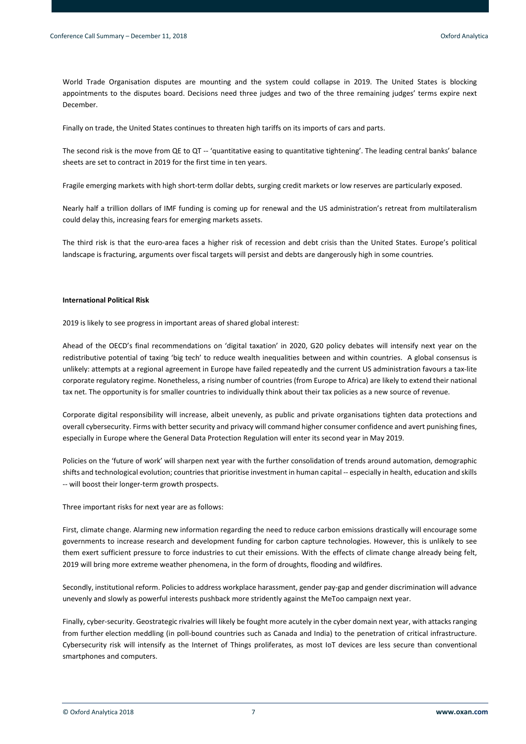World Trade Organisation disputes are mounting and the system could collapse in 2019. The United States is blocking appointments to the disputes board. Decisions need three judges and two of the three remaining judges' terms expire next December.

Finally on trade, the United States continues to threaten high tariffs on its imports of cars and parts.

The second risk is the move from QE to QT -- 'quantitative easing to quantitative tightening'. The leading central banks' balance sheets are set to contract in 2019 for the first time in ten years.

Fragile emerging markets with high short-term dollar debts, surging credit markets or low reserves are particularly exposed.

Nearly half a trillion dollars of IMF funding is coming up for renewal and the US administration's retreat from multilateralism could delay this, increasing fears for emerging markets assets.

The third risk is that the euro-area faces a higher risk of recession and debt crisis than the United States. Europe's political landscape is fracturing, arguments over fiscal targets will persist and debts are dangerously high in some countries.

# **International Political Risk**

2019 is likely to see progress in important areas of shared global interest:

Ahead of the OECD's final recommendations on 'digital taxation' in 2020, G20 policy debates will intensify next year on the redistributive potential of taxing 'big tech' to reduce wealth inequalities between and within countries. A global consensus is unlikely: attempts at a regional agreement in Europe have failed repeatedly and the current US administration favours a tax-lite corporate regulatory regime. Nonetheless, a rising number of countries (from Europe to Africa) are likely to extend their national tax net. The opportunity is for smaller countries to individually think about their tax policies as a new source of revenue.

Corporate digital responsibility will increase, albeit unevenly, as public and private organisations tighten data protections and overall cybersecurity. Firms with better security and privacy will command higher consumer confidence and avert punishing fines, especially in Europe where the General Data Protection Regulation will enter its second year in May 2019.

Policies on the 'future of work' will sharpen next year with the further consolidation of trends around automation, demographic shifts and technological evolution; countries that prioritise investment in human capital -- especially in health, education and skills -- will boost their longer-term growth prospects.

Three important risks for next year are as follows:

First, climate change. Alarming new information regarding the need to reduce carbon emissions drastically will encourage some governments to increase research and development funding for carbon capture technologies. However, this is unlikely to see them exert sufficient pressure to force industries to cut their emissions. With the effects of climate change already being felt, 2019 will bring more extreme weather phenomena, in the form of droughts, flooding and wildfires.

Secondly, institutional reform. Policies to address workplace harassment, gender pay-gap and gender discrimination will advance unevenly and slowly as powerful interests pushback more stridently against the MeToo campaign next year.

Finally, cyber-security. Geostrategic rivalries will likely be fought more acutely in the cyber domain next year, with attacks ranging from further election meddling (in poll-bound countries such as Canada and India) to the penetration of critical infrastructure. Cybersecurity risk will intensify as the Internet of Things proliferates, as most IoT devices are less secure than conventional smartphones and computers.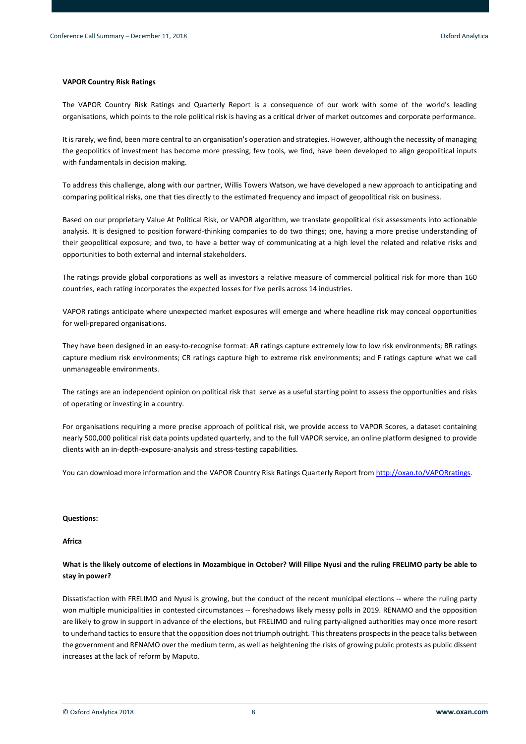# **VAPOR Country Risk Ratings**

The VAPOR Country Risk Ratings and Quarterly Report is a consequence of our work with some of the world's leading organisations, which points to the role political risk is having as a critical driver of market outcomes and corporate performance.

It is rarely, we find, been more central to an organisation's operation and strategies. However, although the necessity of managing the geopolitics of investment has become more pressing, few tools, we find, have been developed to align geopolitical inputs with fundamentals in decision making.

To address this challenge, along with our partner, Willis Towers Watson, we have developed a new approach to anticipating and comparing political risks, one that ties directly to the estimated frequency and impact of geopolitical risk on business.

Based on our proprietary Value At Political Risk, or VAPOR algorithm, we translate geopolitical risk assessments into actionable analysis. It is designed to position forward-thinking companies to do two things; one, having a more precise understanding of their geopolitical exposure; and two, to have a better way of communicating at a high level the related and relative risks and opportunities to both external and internal stakeholders.

The ratings provide global corporations as well as investors a relative measure of commercial political risk for more than 160 countries, each rating incorporates the expected losses for five perils across 14 industries.

VAPOR ratings anticipate where unexpected market exposures will emerge and where headline risk may conceal opportunities for well-prepared organisations.

They have been designed in an easy-to-recognise format: AR ratings capture extremely low to low risk environments; BR ratings capture medium risk environments; CR ratings capture high to extreme risk environments; and F ratings capture what we call unmanageable environments.

The ratings are an independent opinion on political risk that serve as a useful starting point to assess the opportunities and risks of operating or investing in a country.

For organisations requiring a more precise approach of political risk, we provide access to VAPOR Scores, a dataset containing nearly 500,000 political risk data points updated quarterly, and to the full VAPOR service, an online platform designed to provide clients with an in-depth-exposure-analysis and stress-testing capabilities.

You can download more information and the VAPOR Country Risk Ratings Quarterly Report from [http://oxan.to/VAPORratings.](http://oxan.to/VAPORratings)

# **Questions:**

# **Africa**

# **What is the likely outcome of elections in Mozambique in October? Will Filipe Nyusi and the ruling FRELIMO party be able to stay in power?**

Dissatisfaction with FRELIMO and Nyusi is growing, but the conduct of the recent municipal elections -- where the ruling party won multiple municipalities in contested circumstances -- foreshadows likely messy polls in 2019. RENAMO and the opposition are likely to grow in support in advance of the elections, but FRELIMO and ruling party-aligned authorities may once more resort to underhand tactics to ensure that the opposition does not triumph outright. This threatens prospects in the peace talks between the government and RENAMO over the medium term, as well as heightening the risks of growing public protests as public dissent increases at the lack of reform by Maputo.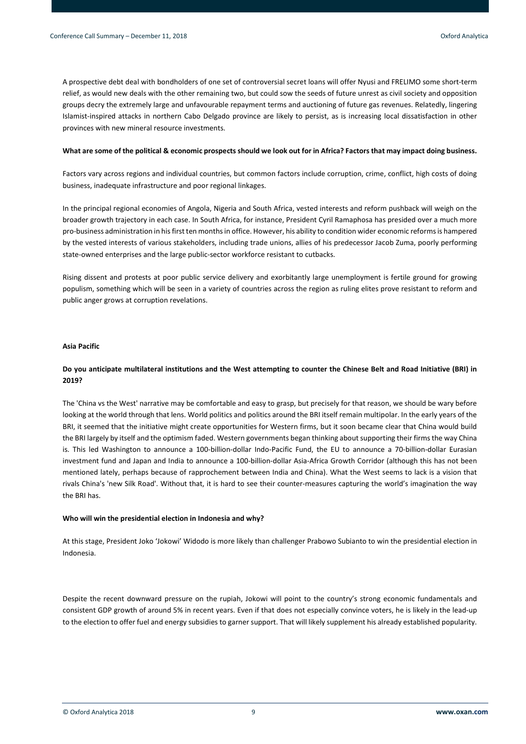A prospective debt deal with bondholders of one set of controversial secret loans will offer Nyusi and FRELIMO some short-term relief, as would new deals with the other remaining two, but could sow the seeds of future unrest as civil society and opposition groups decry the extremely large and unfavourable repayment terms and auctioning of future gas revenues. Relatedly, lingering Islamist-inspired attacks in northern Cabo Delgado province are likely to persist, as is increasing local dissatisfaction in other provinces with new mineral resource investments.

# **What are some of the political & economic prospects should we look out for in Africa? Factors that may impact doing business.**

Factors vary across regions and individual countries, but common factors include corruption, crime, conflict, high costs of doing business, inadequate infrastructure and poor regional linkages.

In the principal regional economies of Angola, Nigeria and South Africa, vested interests and reform pushback will weigh on the broader growth trajectory in each case. In South Africa, for instance, President Cyril Ramaphosa has presided over a much more pro-business administration in his first ten months in office. However, his ability to condition wider economic reforms is hampered by the vested interests of various stakeholders, including trade unions, allies of his predecessor Jacob Zuma, poorly performing state-owned enterprises and the large public-sector workforce resistant to cutbacks.

Rising dissent and protests at poor public service delivery and exorbitantly large unemployment is fertile ground for growing populism, something which will be seen in a variety of countries across the region as ruling elites prove resistant to reform and public anger grows at corruption revelations.

# **Asia Pacific**

# **Do you anticipate multilateral institutions and the West attempting to counter the Chinese Belt and Road Initiative (BRI) in 2019?**

The 'China vs the West' narrative may be comfortable and easy to grasp, but precisely for that reason, we should be wary before looking at the world through that lens. World politics and politics around the BRI itself remain multipolar. In the early years of the BRI, it seemed that the initiative might create opportunities for Western firms, but it soon became clear that China would build the BRI largely by itself and the optimism faded. Western governments began thinking about supporting their firms the way China is. This led Washington to announce a 100-billion-dollar Indo-Pacific Fund, the EU to announce a 70-billion-dollar Eurasian investment fund and Japan and India to announce a 100-billion-dollar Asia-Africa Growth Corridor (although this has not been mentioned lately, perhaps because of rapprochement between India and China). What the West seems to lack is a vision that rivals China's 'new Silk Road'. Without that, it is hard to see their counter-measures capturing the world's imagination the way the BRI has.

#### **Who will win the presidential election in Indonesia and why?**

At this stage, President Joko 'Jokowi' Widodo is more likely than challenger Prabowo Subianto to win the presidential election in Indonesia.

Despite the recent downward pressure on the rupiah, Jokowi will point to the country's strong economic fundamentals and consistent GDP growth of around 5% in recent years. Even if that does not especially convince voters, he is likely in the lead-up to the election to offer fuel and energy subsidies to garner support. That will likely supplement his already established popularity.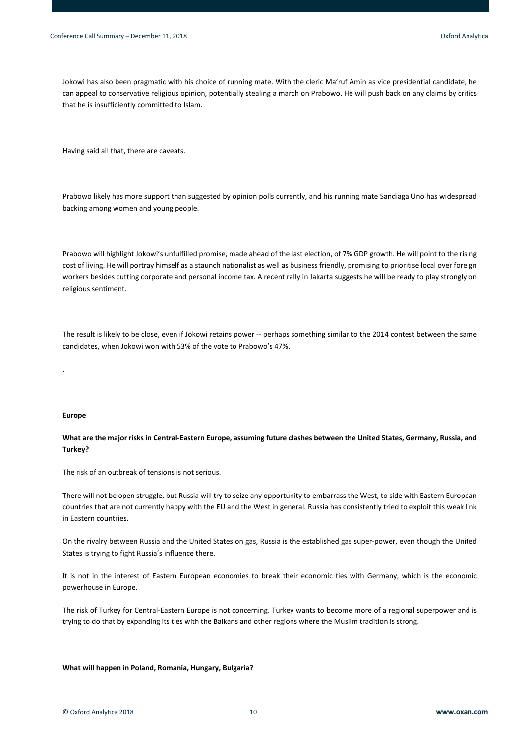Jokowi has also been pragmatic with his choice of running mate. With the cleric Ma'ruf Amin as vice presidential candidate, he can appeal to conservative religious opinion, potentially stealing a march on Prabowo. He will push back on any claims by critics that he is insufficiently committed to Islam.

Having said all that, there are caveats.

Prabowo likely has more support than suggested by opinion polls currently, and his running mate Sandiaga Uno has widespread backing among women and young people.

Prabowo will highlight Jokowi's unfulfilled promise, made ahead of the last election, of 7% GDP growth. He will point to the rising cost of living. He will portray himself as a staunch nationalist as well as business friendly, promising to prioritise local over foreign workers besides cutting corporate and personal income tax. A recent rally in Jakarta suggests he will be ready to play strongly on religious sentiment.

The result is likely to be close, even if Jokowi retains power -- perhaps something similar to the 2014 contest between the same candidates, when Jokowi won with 53% of the vote to Prabowo's 47%.

#### **Europe**

.

# **What are the major risks in Central-Eastern Europe, assuming future clashes between the United States, Germany, Russia, and Turkey?**

The risk of an outbreak of tensions is not serious.

There will not be open struggle, but Russia will try to seize any opportunity to embarrass the West, to side with Eastern European countries that are not currently happy with the EU and the West in general. Russia has consistently tried to exploit this weak link in Eastern countries.

On the rivalry between Russia and the United States on gas, Russia is the established gas super-power, even though the United States is trying to fight Russia's influence there.

It is not in the interest of Eastern European economies to break their economic ties with Germany, which is the economic powerhouse in Europe.

The risk of Turkey for Central-Eastern Europe is not concerning. Turkey wants to become more of a regional superpower and is trying to do that by expanding its ties with the Balkans and other regions where the Muslim tradition is strong.

#### **What will happen in Poland, Romania, Hungary, Bulgaria?**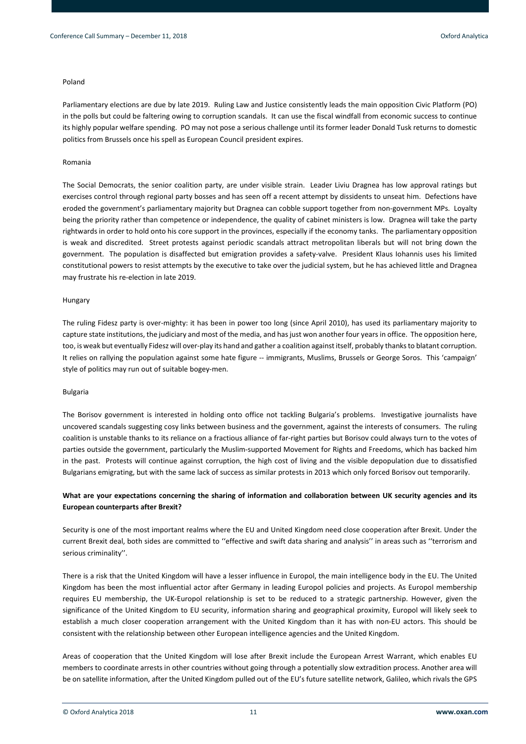# Poland

Parliamentary elections are due by late 2019. Ruling Law and Justice consistently leads the main opposition Civic Platform (PO) in the polls but could be faltering owing to corruption scandals. It can use the fiscal windfall from economic success to continue its highly popular welfare spending. PO may not pose a serious challenge until its former leader Donald Tusk returns to domestic politics from Brussels once his spell as European Council president expires.

#### Romania

The Social Democrats, the senior coalition party, are under visible strain. Leader Liviu Dragnea has low approval ratings but exercises control through regional party bosses and has seen off a recent attempt by dissidents to unseat him. Defections have eroded the government's parliamentary majority but Dragnea can cobble support together from non-government MPs. Loyalty being the priority rather than competence or independence, the quality of cabinet ministers is low. Dragnea will take the party rightwards in order to hold onto his core support in the provinces, especially if the economy tanks. The parliamentary opposition is weak and discredited. Street protests against periodic scandals attract metropolitan liberals but will not bring down the government. The population is disaffected but emigration provides a safety-valve. President Klaus Iohannis uses his limited constitutional powers to resist attempts by the executive to take over the judicial system, but he has achieved little and Dragnea may frustrate his re-election in late 2019.

### Hungary

The ruling Fidesz party is over-mighty: it has been in power too long (since April 2010), has used its parliamentary majority to capture state institutions, the judiciary and most of the media, and has just won another four years in office. The opposition here, too, is weak but eventually Fidesz will over-play its hand and gather a coalition against itself, probably thanks to blatant corruption. It relies on rallying the population against some hate figure -- immigrants, Muslims, Brussels or George Soros. This 'campaign' style of politics may run out of suitable bogey-men.

#### Bulgaria

The Borisov government is interested in holding onto office not tackling Bulgaria's problems. Investigative journalists have uncovered scandals suggesting cosy links between business and the government, against the interests of consumers. The ruling coalition is unstable thanks to its reliance on a fractious alliance of far-right parties but Borisov could always turn to the votes of parties outside the government, particularly the Muslim-supported Movement for Rights and Freedoms, which has backed him in the past. Protests will continue against corruption, the high cost of living and the visible depopulation due to dissatisfied Bulgarians emigrating, but with the same lack of success as similar protests in 2013 which only forced Borisov out temporarily.

# **What are your expectations concerning the sharing of information and collaboration between UK security agencies and its European counterparts after Brexit?**

Security is one of the most important realms where the EU and United Kingdom need close cooperation after Brexit. Under the current Brexit deal, both sides are committed to ''effective and swift data sharing and analysis'' in areas such as ''terrorism and serious criminality''.

There is a risk that the United Kingdom will have a lesser influence in Europol, the main intelligence body in the EU. The United Kingdom has been the most influential actor after Germany in leading Europol policies and projects. As Europol membership requires EU membership, the UK-Europol relationship is set to be reduced to a strategic partnership. However, given the significance of the United Kingdom to EU security, information sharing and geographical proximity, Europol will likely seek to establish a much closer cooperation arrangement with the United Kingdom than it has with non-EU actors. This should be consistent with the relationship between other European intelligence agencies and the United Kingdom.

Areas of cooperation that the United Kingdom will lose after Brexit include the European Arrest Warrant, which enables EU members to coordinate arrests in other countries without going through a potentially slow extradition process. Another area will be on satellite information, after the United Kingdom pulled out of the EU's future satellite network, Galileo, which rivals the GPS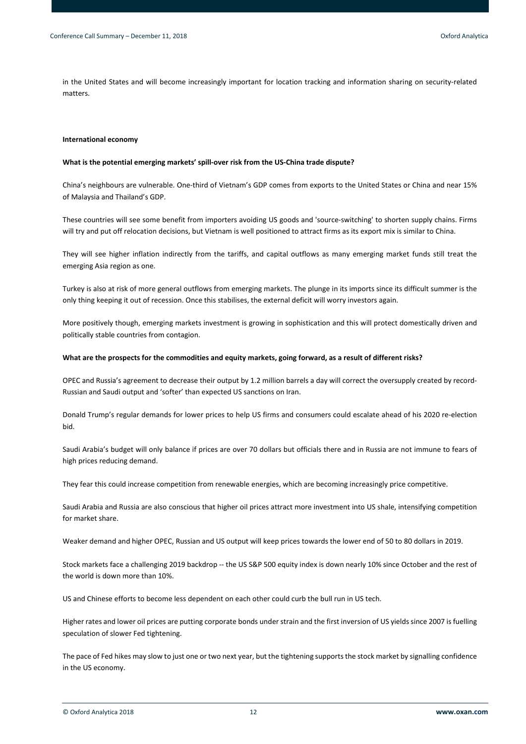in the United States and will become increasingly important for location tracking and information sharing on security-related matters.

# **International economy**

#### **What is the potential emerging markets' spill-over risk from the US-China trade dispute?**

China's neighbours are vulnerable. One-third of Vietnam's GDP comes from exports to the United States or China and near 15% of Malaysia and Thailand's GDP.

These countries will see some benefit from importers avoiding US goods and 'source-switching' to shorten supply chains. Firms will try and put off relocation decisions, but Vietnam is well positioned to attract firms as its export mix is similar to China.

They will see higher inflation indirectly from the tariffs, and capital outflows as many emerging market funds still treat the emerging Asia region as one.

Turkey is also at risk of more general outflows from emerging markets. The plunge in its imports since its difficult summer is the only thing keeping it out of recession. Once this stabilises, the external deficit will worry investors again.

More positively though, emerging markets investment is growing in sophistication and this will protect domestically driven and politically stable countries from contagion.

#### **What are the prospects for the commodities and equity markets, going forward, as a result of different risks?**

OPEC and Russia's agreement to decrease their output by 1.2 million barrels a day will correct the oversupply created by record-Russian and Saudi output and 'softer' than expected US sanctions on Iran.

Donald Trump's regular demands for lower prices to help US firms and consumers could escalate ahead of his 2020 re-election bid.

Saudi Arabia's budget will only balance if prices are over 70 dollars but officials there and in Russia are not immune to fears of high prices reducing demand.

They fear this could increase competition from renewable energies, which are becoming increasingly price competitive.

Saudi Arabia and Russia are also conscious that higher oil prices attract more investment into US shale, intensifying competition for market share.

Weaker demand and higher OPEC, Russian and US output will keep prices towards the lower end of 50 to 80 dollars in 2019.

Stock markets face a challenging 2019 backdrop -- the US S&P 500 equity index is down nearly 10% since October and the rest of the world is down more than 10%.

US and Chinese efforts to become less dependent on each other could curb the bull run in US tech.

Higher rates and lower oil prices are putting corporate bonds under strain and the first inversion of US yields since 2007 is fuelling speculation of slower Fed tightening.

The pace of Fed hikes may slow to just one or two next year, but the tightening supports the stock market by signalling confidence in the US economy.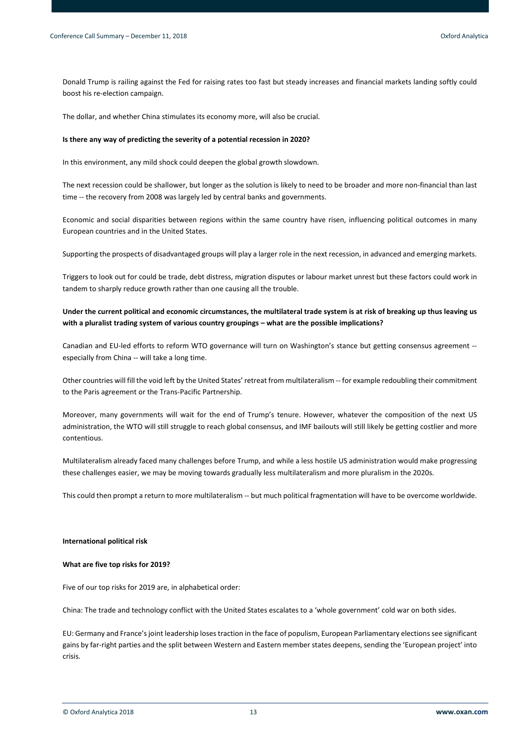Donald Trump is railing against the Fed for raising rates too fast but steady increases and financial markets landing softly could boost his re-election campaign.

The dollar, and whether China stimulates its economy more, will also be crucial.

### **Is there any way of predicting the severity of a potential recession in 2020?**

In this environment, any mild shock could deepen the global growth slowdown.

The next recession could be shallower, but longer as the solution is likely to need to be broader and more non-financial than last time -- the recovery from 2008 was largely led by central banks and governments.

Economic and social disparities between regions within the same country have risen, influencing political outcomes in many European countries and in the United States.

Supporting the prospects of disadvantaged groups will play a larger role in the next recession, in advanced and emerging markets.

Triggers to look out for could be trade, debt distress, migration disputes or labour market unrest but these factors could work in tandem to sharply reduce growth rather than one causing all the trouble.

# **Under the current political and economic circumstances, the multilateral trade system is at risk of breaking up thus leaving us with a pluralist trading system of various country groupings – what are the possible implications?**

Canadian and EU-led efforts to reform WTO governance will turn on Washington's stance but getting consensus agreement - especially from China -- will take a long time.

Other countries will fill the void left by the United States' retreat from multilateralism -- for example redoubling their commitment to the Paris agreement or the Trans-Pacific Partnership.

Moreover, many governments will wait for the end of Trump's tenure. However, whatever the composition of the next US administration, the WTO will still struggle to reach global consensus, and IMF bailouts will still likely be getting costlier and more contentious.

Multilateralism already faced many challenges before Trump, and while a less hostile US administration would make progressing these challenges easier, we may be moving towards gradually less multilateralism and more pluralism in the 2020s.

This could then prompt a return to more multilateralism -- but much political fragmentation will have to be overcome worldwide.

#### **International political risk**

#### **What are five top risks for 2019?**

Five of our top risks for 2019 are, in alphabetical order:

China: The trade and technology conflict with the United States escalates to a 'whole government' cold war on both sides.

EU: Germany and France's joint leadership loses traction in the face of populism, European Parliamentary elections see significant gains by far-right parties and the split between Western and Eastern member states deepens, sending the 'European project' into crisis.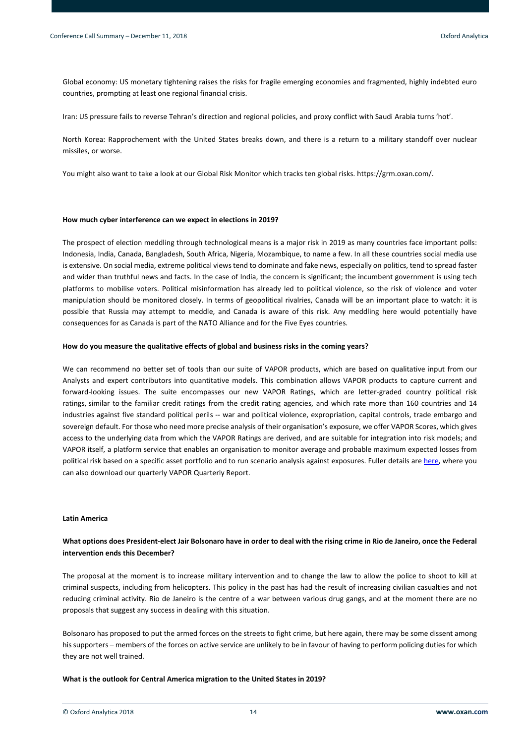Global economy: US monetary tightening raises the risks for fragile emerging economies and fragmented, highly indebted euro countries, prompting at least one regional financial crisis.

Iran: US pressure fails to reverse Tehran's direction and regional policies, and proxy conflict with Saudi Arabia turns 'hot'.

North Korea: Rapprochement with the United States breaks down, and there is a return to a military standoff over nuclear missiles, or worse.

You might also want to take a look at our Global Risk Monitor which tracks ten global risks. https://grm.oxan.com/.

#### **How much cyber interference can we expect in elections in 2019?**

The prospect of election meddling through technological means is a major risk in 2019 as many countries face important polls: Indonesia, India, Canada, Bangladesh, South Africa, Nigeria, Mozambique, to name a few. In all these countries social media use is extensive. On social media, extreme political views tend to dominate and fake news, especially on politics, tend to spread faster and wider than truthful news and facts. In the case of India, the concern is significant; the incumbent government is using tech platforms to mobilise voters. Political misinformation has already led to political violence, so the risk of violence and voter manipulation should be monitored closely. In terms of geopolitical rivalries, Canada will be an important place to watch: it is possible that Russia may attempt to meddle, and Canada is aware of this risk. Any meddling here would potentially have consequences for as Canada is part of the NATO Alliance and for the Five Eyes countries.

#### **How do you measure the qualitative effects of global and business risks in the coming years?**

We can recommend no better set of tools than our suite of VAPOR products, which are based on qualitative input from our Analysts and expert contributors into quantitative models. This combination allows VAPOR products to capture current and forward-looking issues. The suite encompasses our new VAPOR Ratings, which are letter-graded country political risk ratings, similar to the familiar credit ratings from the credit rating agencies, and which rate more than 160 countries and 14 industries against five standard political perils -- war and political violence, expropriation, capital controls, trade embargo and sovereign default. For those who need more precise analysis of their organisation's exposure, we offer VAPOR Scores, which gives access to the underlying data from which the VAPOR Ratings are derived, and are suitable for integration into risk models; and VAPOR itself, a platform service that enables an organisation to monitor average and probable maximum expected losses from political risk based on a specific asset portfolio and to run scenario analysis against exposures. Fuller details are [here,](https://www.oxan.com/insights/vapor-ratings/client-download/) where you can also download our quarterly VAPOR Quarterly Report.

# **Latin America**

# **What options does President-elect Jair Bolsonaro have in order to deal with the rising crime in Rio de Janeiro, once the Federal intervention ends this December?**

The proposal at the moment is to increase military intervention and to change the law to allow the police to shoot to kill at criminal suspects, including from helicopters. This policy in the past has had the result of increasing civilian casualties and not reducing criminal activity. Rio de Janeiro is the centre of a war between various drug gangs, and at the moment there are no proposals that suggest any success in dealing with this situation.

Bolsonaro has proposed to put the armed forces on the streets to fight crime, but here again, there may be some dissent among his supporters – members of the forces on active service are unlikely to be in favour of having to perform policing duties for which they are not well trained.

#### **What is the outlook for Central America migration to the United States in 2019?**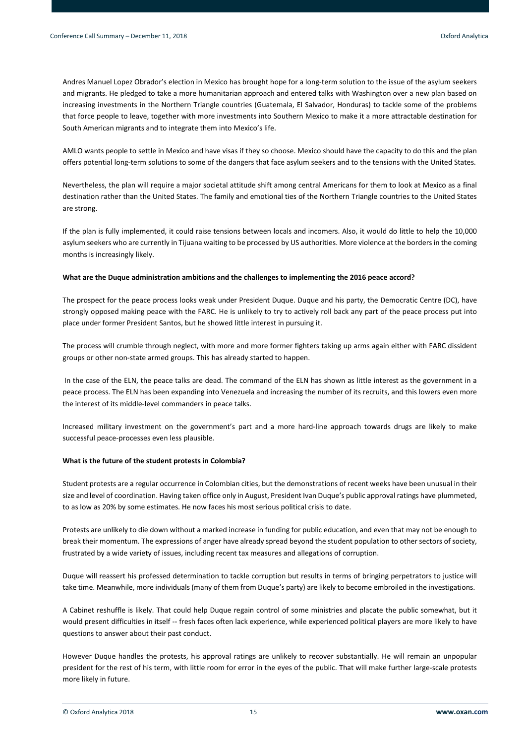Andres Manuel Lopez Obrador's election in Mexico has brought hope for a long-term solution to the issue of the asylum seekers and migrants. He pledged to take a more humanitarian approach and entered talks with Washington over a new plan based on increasing investments in the Northern Triangle countries (Guatemala, El Salvador, Honduras) to tackle some of the problems that force people to leave, together with more investments into Southern Mexico to make it a more attractable destination for South American migrants and to integrate them into Mexico's life.

AMLO wants people to settle in Mexico and have visas if they so choose. Mexico should have the capacity to do this and the plan offers potential long-term solutions to some of the dangers that face asylum seekers and to the tensions with the United States.

Nevertheless, the plan will require a major societal attitude shift among central Americans for them to look at Mexico as a final destination rather than the United States. The family and emotional ties of the Northern Triangle countries to the United States are strong.

If the plan is fully implemented, it could raise tensions between locals and incomers. Also, it would do little to help the 10,000 asylum seekers who are currently in Tijuana waiting to be processed by US authorities. More violence at the borders in the coming months is increasingly likely.

# **What are the Duque administration ambitions and the challenges to implementing the 2016 peace accord?**

The prospect for the peace process looks weak under President Duque. Duque and his party, the Democratic Centre (DC), have strongly opposed making peace with the FARC. He is unlikely to try to actively roll back any part of the peace process put into place under former President Santos, but he showed little interest in pursuing it.

The process will crumble through neglect, with more and more former fighters taking up arms again either with FARC dissident groups or other non-state armed groups. This has already started to happen.

In the case of the ELN, the peace talks are dead. The command of the ELN has shown as little interest as the government in a peace process. The ELN has been expanding into Venezuela and increasing the number of its recruits, and this lowers even more the interest of its middle-level commanders in peace talks.

Increased military investment on the government's part and a more hard-line approach towards drugs are likely to make successful peace-processes even less plausible.

### **What is the future of the student protests in Colombia?**

Student protests are a regular occurrence in Colombian cities, but the demonstrations of recent weeks have been unusual in their size and level of coordination. Having taken office only in August, President Ivan Duque's public approval ratings have plummeted, to as low as 20% by some estimates. He now faces his most serious political crisis to date.

Protests are unlikely to die down without a marked increase in funding for public education, and even that may not be enough to break their momentum. The expressions of anger have already spread beyond the student population to other sectors of society, frustrated by a wide variety of issues, including recent tax measures and allegations of corruption.

Duque will reassert his professed determination to tackle corruption but results in terms of bringing perpetrators to justice will take time. Meanwhile, more individuals (many of them from Duque's party) are likely to become embroiled in the investigations.

A Cabinet reshuffle is likely. That could help Duque regain control of some ministries and placate the public somewhat, but it would present difficulties in itself -- fresh faces often lack experience, while experienced political players are more likely to have questions to answer about their past conduct.

However Duque handles the protests, his approval ratings are unlikely to recover substantially. He will remain an unpopular president for the rest of his term, with little room for error in the eyes of the public. That will make further large-scale protests more likely in future.